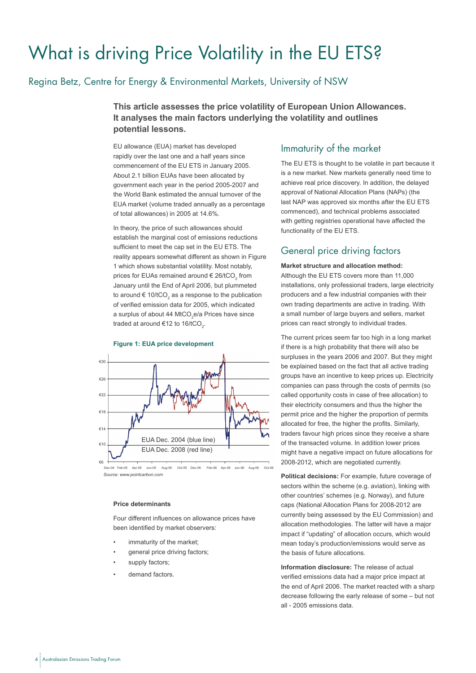# What is driving Price Volatility in the EU ETS?

## Regina Betz, Centre for Energy & Environmental Markets, University of NSW

**This article assesses the price volatility of European Union Allowances. It analyses the main factors underlying the volatility and outlines potential lessons.** 

EU allowance (EUA) market has developed rapidly over the last one and a half years since commencement of the EU ETS in January 2005. About 2.1 billion EUAs have been allocated by government each year in the period 2005-2007 and the World Bank estimated the annual turnover of the EUA market (volume traded annually as a percentage of total allowances) in 2005 at 14.6%.

In theory, the price of such allowances should establish the marginal cost of emissions reductions sufficient to meet the cap set in the EU ETS. The reality appears somewhat different as shown in Figure 1 which shows substantial volatility. Most notably, prices for EUAs remained around  $\in$  26/tCO<sub>2</sub> from January until the End of April 2006, but plummeted to around  $\in$  10/tCO<sub>2</sub> as a response to the publication of verified emission data for 2005, which indicated a surplus of about 44 MtCO<sub>2</sub>e/a Prices have since traded at around €12 to 16/tCO<sub>2</sub>.



#### **Figure 1: EUA price development**

*Source: www.pointcarbon.com*

#### **Price determinants**

Four different influences on allowance prices have been identified by market observers:

- immaturity of the market;
- general price driving factors;
- supply factors;
- demand factors.

### Immaturity of the market

The EU ETS is thought to be volatile in part because it is a new market. New markets generally need time to achieve real price discovery. In addition, the delayed approval of National Allocation Plans (NAPs) (the last NAP was approved six months after the EU ETS commenced), and technical problems associated with getting registries operational have affected the functionality of the EU ETS.

## General price driving factors

#### **Market structure and allocation method:**

Although the EU ETS covers more than 11,000 installations, only professional traders, large electricity producers and a few industrial companies with their own trading departments are active in trading. With a small number of large buyers and sellers, market prices can react strongly to individual trades.

The current prices seem far too high in a long market if there is a high probability that there will also be surpluses in the years 2006 and 2007. But they might be explained based on the fact that all active trading groups have an incentive to keep prices up. Electricity companies can pass through the costs of permits (so called opportunity costs in case of free allocation) to their electricity consumers and thus the higher the permit price and the higher the proportion of permits allocated for free, the higher the profits. Similarly, traders favour high prices since they receive a share of the transacted volume. In addition lower prices might have a negative impact on future allocations for 2008-2012, which are negotiated currently.

**Political decisions:** For example, future coverage of sectors within the scheme (e.g. aviation), linking with other countries' schemes (e.g. Norway), and future caps (National Allocation Plans for 2008-2012 are currently being assessed by the EU Commission) and allocation methodologies. The latter will have a major impact if "updating" of allocation occurs, which would mean today's production/emissions would serve as the basis of future allocations.

**Information disclosure:** The release of actual verified emissions data had a major price impact at the end of April 2006. The market reacted with a sharp decrease following the early release of some – but not all - 2005 emissions data.